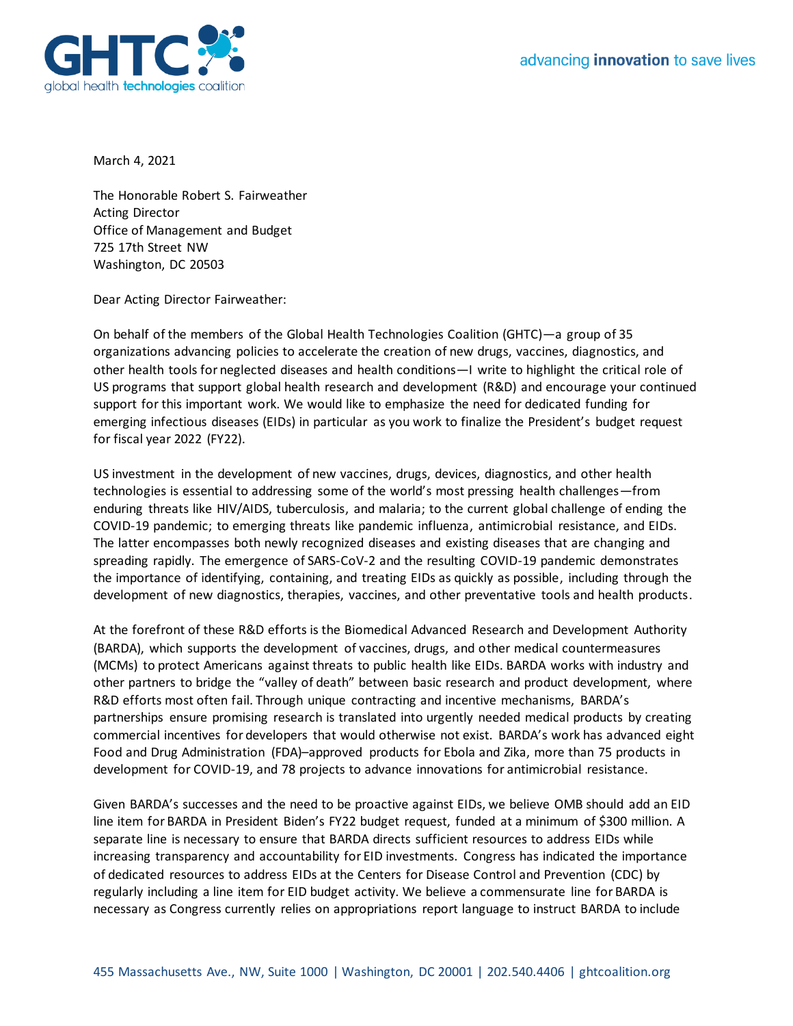



March 4, 2021

The Honorable Robert S. Fairweather Acting Director Office of Management and Budget 725 17th Street NW Washington, DC 20503

Dear Acting Director Fairweather:

On behalf of the members of the Global Health Technologies Coalition (GHTC)—a group of 35 organizations advancing policies to accelerate the creation of new drugs, vaccines, diagnostics, and other health tools for neglected diseases and health conditions—I write to highlight the critical role of US programs that support global health research and development (R&D) and encourage your continued support for this important work. We would like to emphasize the need for dedicated funding for emerging infectious diseases (EIDs) in particular as you work to finalize the President's budget request for fiscal year 2022 (FY22).

US investment in the development of new vaccines, drugs, devices, diagnostics, and other health technologies is essential to addressing some of the world's most pressing health challenges—from enduring threats like HIV/AIDS, tuberculosis, and malaria; to the current global challenge of ending the COVID-19 pandemic; to emerging threats like pandemic influenza, antimicrobial resistance, and EIDs. The latter encompasses both newly recognized diseases and existing diseases that are changing and spreading rapidly. The emergence of SARS-CoV-2 and the resulting COVID-19 pandemic demonstrates the importance of identifying, containing, and treating EIDs as quickly as possible, including through the development of new diagnostics, therapies, vaccines, and other preventative tools and health products.

At the forefront of these R&D efforts is the Biomedical Advanced Research and Development Authority (BARDA), which supports the development of vaccines, drugs, and other medical countermeasures (MCMs) to protect Americans against threats to public health like EIDs. BARDA works with industry and other partners to bridge the "valley of death" between basic research and product development, where R&D efforts most often fail. Through unique contracting and incentive mechanisms, BARDA's partnerships ensure promising research is translated into urgently needed medical products by creating commercial incentives for developers that would otherwise not exist. BARDA's work has advanced eight Food and Drug Administration (FDA)–approved products for Ebola and Zika, more than 75 products in development for COVID-19, and 78 projects to advance innovations for antimicrobial resistance.

Given BARDA's successes and the need to be proactive against EIDs, we believe OMB should add an EID line item for BARDA in President Biden's FY22 budget request, funded at a minimum of \$300 million. A separate line is necessary to ensure that BARDA directs sufficient resources to address EIDs while increasing transparency and accountability for EID investments. Congress has indicated the importance of dedicated resources to address EIDs at the Centers for Disease Control and Prevention (CDC) by regularly including a line item for EID budget activity. We believe a commensurate line for BARDA is necessary as Congress currently relies on appropriations report language to instruct BARDA to include